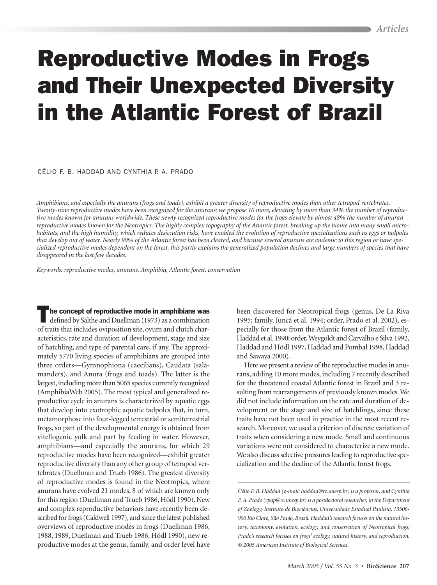# **Reproductive Modes in Frogs** and Their Unexpected Diversity in the Atlantic Forest of Brazil

CÉLIO E B HADDAD AND CYNTHIA P A PRADO

Amphibians, and especially the anurans (frogs and toads), exhibit a greater diversity of reproductive modes than other tetrapod vertebrates. Twenty-nine reproductive modes have been recognized for the anurans; we propose 10 more, elevating by more than 34% the number of reproductive modes known for anurans worldwide. These newly recognized reproductive modes for the frogs elevate by almost 48% the number of anuran reproductive modes known for the Neotropics. The highly complex topography of the Atlantic forest, breaking up the biome into many small microhabitats, and the high humidity, which reduces desiccation risks, have enabled the evolution of reproductive specializations such as eggs or tadpoles that develop out of water. Nearly 90% of the Atlantic forest has been cleared, and because several anurans are endemic to this region or have specialized reproductive modes dependent on the forest, this partly explains the generalized population declines and large numbers of species that have disappeared in the last few decades.

Keywords: reproductive modes, anurans, Amphibia, Atlantic forest, conservation

The concept of reproductive mode in amphibians was defined by Salthe and Duellman (1973) as a combination of traits that includes oviposition site, ovum and clutch characteristics, rate and duration of development, stage and size of hatchling, and type of parental care, if any. The approximately 5770 living species of amphibians are grouped into three orders—Gymnophiona (caecilians), Caudata (salamanders), and Anura (frogs and toads). The latter is the largest, including more than 5065 species currently recognized (AmphibiaWeb 2005). The most typical and generalized reproductive cycle in anurans is characterized by aquatic eggs that develop into exotrophic aquatic tadpoles that, in turn, metamorphose into four-legged terrestrial or semiterrestrial frogs, so part of the developmental energy is obtained from vitellogenic yolk and part by feeding in water. However, amphibians-and especially the anurans, for which 29 reproductive modes have been recognized—exhibit greater reproductive diversity than any other group of tetrapod vertebrates (Duellman and Trueb 1986). The greatest diversity of reproductive modes is found in the Neotropics, where anurans have evolved 21 modes, 8 of which are known only for this region (Duellman and Trueb 1986, Hödl 1990). New and complex reproductive behaviors have recently been described for frogs (Caldwell 1997), and since the latest published overviews of reproductive modes in frogs (Duellman 1986, 1988, 1989, Duellman and Trueb 1986, Hödl 1990), new reproductive modes at the genus, family, and order level have been discovered for Neotropical frogs (genus, De La Riva 1995; family, Juncá et al. 1994; order, Prado et al. 2002), especially for those from the Atlantic forest of Brazil (family, Haddad et al. 1990; order, Weygoldt and Carvalho e Silva 1992, Haddad and Hödl 1997, Haddad and Pombal 1998, Haddad and Sawaya 2000).

Here we present a review of the reproductive modes in anurans, adding 10 more modes, including 7 recently described for the threatened coastal Atlantic forest in Brazil and 3 resulting from rearrangements of previously known modes. We did not include information on the rate and duration of development or the stage and size of hatchlings, since these traits have not been used in practice in the most recent research. Moreover, we used a criterion of discrete variation of traits when considering a new mode. Small and continuous variations were not considered to characterize a new mode. We also discuss selective pressures leading to reproductive specialization and the decline of the Atlantic forest frogs.

Célio F. B. Haddad (e-mail: haddad@rc.unesp.br) is a professor, and Cynthia P. A. Prado (cpap@rc.unesp.br) is a postdoctoral researcher, in the Department of Zoology, Instituto de Biociências, Universidade Estadual Paulista, 13506-900 Rio Claro, São Paulo, Brazil. Haddad's research focuses on the natural history, taxonomy, evolution, ecology, and conservation of Neotropical frogs; Prado's research focuses on frogs' ecology, natural history, and reproduction. © 2005 American Institute of Biological Sciences.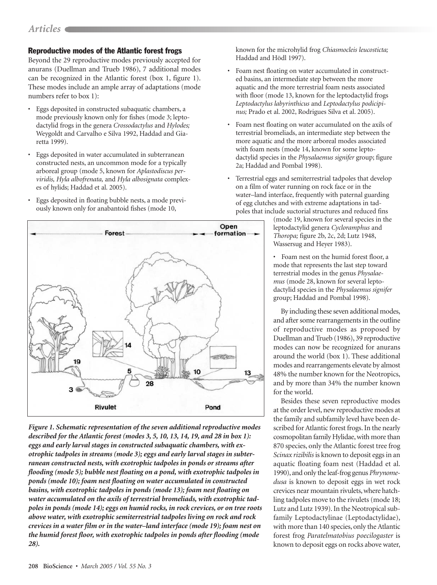# **Reproductive modes of the Atlantic forest frogs**

Beyond the 29 reproductive modes previously accepted for anurans (Duellman and Trueb 1986), 7 additional modes can be recognized in the Atlantic forest (box 1, figure 1). These modes include an ample array of adaptations (mode numbers refer to box 1):

- Eggs deposited in constructed subaquatic chambers, a mode previously known only for fishes (mode 3; leptodactylid frogs in the genera Crossodactylus and Hylodes; Weygoldt and Carvalho e Silva 1992, Haddad and Giaretta 1999).
- Eggs deposited in water accumulated in subterranean constructed nests, an uncommon mode for a typically arboreal group (mode 5, known for Aplastodiscus perviridis, Hyla albofrenata, and Hyla albosignata complexes of hylids; Haddad et al. 2005).
- · Eggs deposited in floating bubble nests, a mode previously known only for anabantoid fishes (mode 10,



Figure 1. Schematic representation of the seven additional reproductive modes described for the Atlantic forest (modes 3, 5, 10, 13, 14, 19, and 28 in box 1): eggs and early larval stages in constructed subaquatic chambers, with exotrophic tadpoles in streams (mode 3); eggs and early larval stages in subterranean constructed nests, with exotrophic tadpoles in ponds or streams after flooding (mode 5); bubble nest floating on a pond, with exotrophic tadpoles in ponds (mode 10); foam nest floating on water accumulated in constructed basins, with exotrophic tadpoles in ponds (mode 13); foam nest floating on water accumulated on the axils of terrestrial bromeliads, with exotrophic tadpoles in ponds (mode 14); eggs on humid rocks, in rock crevices, or on tree roots above water, with exotrophic semiterrestrial tadpoles living on rock and rock crevices in a water film or in the water-land interface (mode 19); foam nest on the humid forest floor, with exotrophic tadpoles in ponds after flooding (mode  $28$ ).

known for the microhylid frog Chiasmocleis leucosticta; Haddad and Hödl 1997).

- Foam nest floating on water accumulated in constructed basins, an intermediate step between the more aquatic and the more terrestrial foam nests associated with floor (mode 13, known for the leptodactylid frogs Leptodactylus labyrinthicus and Leptodactylus podicipinus; Prado et al. 2002, Rodrigues Silva et al. 2005).
- Foam nest floating on water accumulated on the axils of terrestrial bromeliads, an intermediate step between the more aquatic and the more arboreal modes associated with foam nests (mode 14, known for some leptodactylid species in the Physalaemus signifer group; figure 2a; Haddad and Pombal 1998).
- Terrestrial eggs and semiterrestrial tadpoles that develop on a film of water running on rock face or in the water-land interface, frequently with paternal guarding of egg clutches and with extreme adaptations in tadpoles that include suctorial structures and reduced fins

(mode 19, known for several species in the leptodactylid genera Cycloramphus and Thoropa; figure 2b, 2c, 2d; Lutz 1948, Wassersug and Heyer 1983).

• Foam nest on the humid forest floor, a mode that represents the last step toward terrestrial modes in the genus Physalaemus (mode 28, known for several leptodactylid species in the Physalaemus signifer group; Haddad and Pombal 1998).

By including these seven additional modes, and after some rearrangements in the outline of reproductive modes as proposed by Duellman and Trueb (1986), 39 reproductive modes can now be recognized for anurans around the world (box 1). These additional modes and rearrangements elevate by almost 48% the number known for the Neotropics, and by more than 34% the number known for the world.

Besides these seven reproductive modes at the order level, new reproductive modes at the family and subfamily level have been described for Atlantic forest frogs. In the nearly cosmopolitan family Hylidae, with more than 870 species, only the Atlantic forest tree frog Scinax rizibilis is known to deposit eggs in an aquatic floating foam nest (Haddad et al. 1990), and only the leaf-frog genus Phrynome*dusa* is known to deposit eggs in wet rock crevices near mountain rivulets, where hatchling tadpoles move to the rivulets (mode 18; Lutz and Lutz 1939). In the Neotropical subfamily Leptodactylinae (Leptodactylidae), with more than 140 species, only the Atlantic forest frog Paratelmatobius poecilogaster is known to deposit eggs on rocks above water,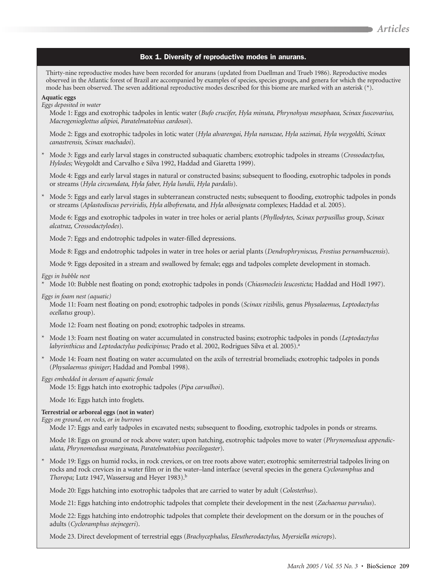### Box 1. Diversity of reproductive modes in anurans.

Thirty-nine reproductive modes have been recorded for anurans (updated from Duellman and Trueb 1986). Reproductive modes observed in the Atlantic forest of Brazil are accompanied by examples of species, species groups, and genera for which the reproductive mode has been observed. The seven additional reproductive modes described for this biome are marked with an asterisk  $(*)$ .

#### **Aquatic eggs**

Eggs deposited in water

Mode 1: Eggs and exotrophic tadpoles in lentic water (Bufo crucifer, Hyla minuta, Phrynohyas mesophaea, Scinax fuscovarius, Macrogenioglottus alipioi, Paratelmatobius cardosoi).

Mode 2: Eggs and exotrophic tadpoles in lotic water (Hyla alvarengai, Hyla nanuzae, Hyla sazimai, Hyla weygoldti, Scinax canastrensis, Scinax machadoi).

Mode 3: Eggs and early larval stages in constructed subaquatic chambers; exotrophic tadpoles in streams (Crossodactylus, Hylodes; Weygoldt and Carvalho e Silva 1992, Haddad and Giaretta 1999).

Mode 4: Eggs and early larval stages in natural or constructed basins; subsequent to flooding, exotrophic tadpoles in ponds or streams (Hyla circumdata, Hyla faber, Hyla lundii, Hyla pardalis).

Mode 5: Eggs and early larval stages in subterranean constructed nests; subsequent to flooding, exotrophic tadpoles in ponds or streams (Aplastodiscus perviridis, Hyla albofrenata, and Hyla albosignata complexes; Haddad et al. 2005).

Mode 6: Eggs and exotrophic tadpoles in water in tree holes or aerial plants (Phyllodytes, Scinax perpusillus group, Scinax alcatraz, Crossodactylodes).

Mode 7: Eggs and endotrophic tadpoles in water-filled depressions.

Mode 8: Eggs and endotrophic tadpoles in water in tree holes or aerial plants (Dendrophryniscus, Frostius pernambucensis).

Mode 9: Eggs deposited in a stream and swallowed by female; eggs and tadpoles complete development in stomach.

#### Eggs in bubble nest

\* Mode 10: Bubble nest floating on pond; exotrophic tadpoles in ponds (Chiasmocleis leucosticta; Haddad and Hödl 1997).

#### Eggs in foam nest (aquatic)

Mode 11: Foam nest floating on pond; exotrophic tadpoles in ponds (Scinax rizibilis, genus Physalaemus, Leptodactylus ocellatus group).

Mode 12: Foam nest floating on pond; exotrophic tadpoles in streams.

- \* Mode 13: Foam nest floating on water accumulated in constructed basins; exotrophic tadpoles in ponds (Leptodactylus labyrinthicus and Leptodactylus podicipinus; Prado et al. 2002, Rodrigues Silva et al. 2005).<sup>a</sup>
- \* Mode 14: Foam nest floating on water accumulated on the axils of terrestrial bromeliads; exotrophic tadpoles in ponds (Physalaemus spiniger; Haddad and Pombal 1998).

#### Eggs embedded in dorsum of aquatic female

Mode 15: Eggs hatch into exotrophic tadpoles (Pipa carvalhoi).

Mode 16: Eggs hatch into froglets.

#### Terrestrial or arboreal eggs (not in water)

Eggs on ground, on rocks, or in burrows

Mode 17: Eggs and early tadpoles in excavated nests; subsequent to flooding, exotrophic tadpoles in ponds or streams.

Mode 18: Eggs on ground or rock above water; upon hatching, exotrophic tadpoles move to water (Phrynomedusa appendiculata, Phrynomedusa marginata, Paratelmatobius poecilogaster).

Mode 19: Eggs on humid rocks, in rock crevices, or on tree roots above water; exotrophic semiterrestrial tadpoles living on rocks and rock crevices in a water film or in the water-land interface (several species in the genera Cycloramphus and Thoropa; Lutz 1947, Wassersug and Heyer 1983).<sup>b</sup>

Mode 20: Eggs hatching into exotrophic tadpoles that are carried to water by adult (Colostethus).

Mode 21: Eggs hatching into endotrophic tadpoles that complete their development in the nest (Zachaenus parvulus).

Mode 22: Eggs hatching into endotrophic tadpoles that complete their development on the dorsum or in the pouches of adults (Cycloramphus stejnegeri).

Mode 23. Direct development of terrestrial eggs (Brachycephalus, Eleutherodactylus, Myersiella microps).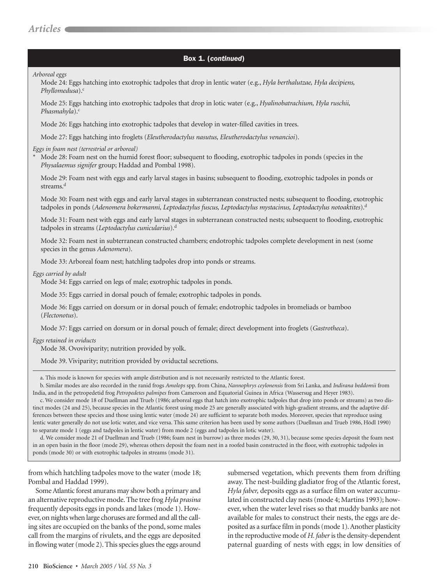# Box 1. (continued)

Arboreal eggs

Mode 24: Eggs hatching into exotrophic tadpoles that drop in lentic water (e.g., Hyla berthalutzae, Hyla decipiens, Phyllomedusa).<sup>c</sup>

Mode 25: Eggs hatching into exotrophic tadpoles that drop in lotic water (e.g., Hyalinobatrachium, Hyla ruschii, Phasmahyla). $\circ$ 

Mode 26: Eggs hatching into exotrophic tadpoles that develop in water-filled cavities in trees.

Mode 27: Eggs hatching into froglets (Eleutherodactylus nasutus, Eleutherodactylus venancioi).

Eggs in foam nest (terrestrial or arboreal)

Mode 28: Foam nest on the humid forest floor; subsequent to flooding, exotrophic tadpoles in ponds (species in the Physalaemus signifer group; Haddad and Pombal 1998).

Mode 29: Foam nest with eggs and early larval stages in basins; subsequent to flooding, exotrophic tadpoles in ponds or streams.<sup>d</sup>

Mode 30: Foam nest with eggs and early larval stages in subterranean constructed nests; subsequent to flooding, exotrophic tadpoles in ponds (Adenomera bokermanni, Leptodactylus fuscus, Leptodactylus mystacinus, Leptodactylus notoaktites).<sup>d</sup>

Mode 31: Foam nest with eggs and early larval stages in subterranean constructed nests; subsequent to flooding, exotrophic tadpoles in streams (Leptodactylus cunicularius).<sup>d</sup>

Mode 32: Foam nest in subterranean constructed chambers; endotrophic tadpoles complete development in nest (some species in the genus Adenomera).

Mode 33: Arboreal foam nest; hatchling tadpoles drop into ponds or streams.

Eggs carried by adult

Mode 34: Eggs carried on legs of male; exotrophic tadpoles in ponds.

Mode 35: Eggs carried in dorsal pouch of female; exotrophic tadpoles in ponds.

Mode 36: Eggs carried on dorsum or in dorsal pouch of female; endotrophic tadpoles in bromeliads or bamboo (Flectonotus).

Mode 37: Eggs carried on dorsum or in dorsal pouch of female; direct development into froglets (Gastrotheca).

Eggs retained in oviducts

Mode 38. Ovoviviparity; nutrition provided by yolk.

Mode 39. Viviparity; nutrition provided by oviductal secretions.

a. This mode is known for species with ample distribution and is not necessarily restricted to the Atlantic forest.

b. Similar modes are also recorded in the ranid frogs Amolops spp. from China, Nannophrys ceylonensis from Sri Lanka, and Indirana beddomii from India, and in the petropedetid frog Petropedetes palmipes from Cameroon and Equatorial Guinea in Africa (Wassersug and Heyer 1983).

c. We consider mode 18 of Duellman and Trueb (1986; arboreal eggs that hatch into exotrophic tadpoles that drop into ponds or streams) as two distinct modes (24 and 25), because species in the Atlantic forest using mode 25 are generally associated with high-gradient streams, and the adaptive differences between these species and those using lentic water (mode 24) are sufficient to separate both modes. Moreover, species that reproduce using lentic water generally do not use lotic water, and vice versa. This same criterion has been used by some authors (Duellman and Trueb 1986, Hödl 1990) to separate mode 1 (eggs and tadpoles in lentic water) from mode 2 (eggs and tadpoles in lotic water).

d. We consider mode 21 of Duellman and Trueb (1986; foam nest in burrow) as three modes (29, 30, 31), because some species deposit the foam nest in an open basin in the floor (mode 29), whereas others deposit the foam nest in a roofed basin constructed in the floor, with exotrophic tadpoles in ponds (mode 30) or with exotrophic tadpoles in streams (mode 31).

from which hatchling tadpoles move to the water (mode 18; Pombal and Haddad 1999).

Some Atlantic forest anurans may show both a primary and an alternative reproductive mode. The tree frog Hyla prasina frequently deposits eggs in ponds and lakes (mode 1). However, on nights when large choruses are formed and all the calling sites are occupied on the banks of the pond, some males call from the margins of rivulets, and the eggs are deposited in flowing water (mode 2). This species glues the eggs around submersed vegetation, which prevents them from drifting away. The nest-building gladiator frog of the Atlantic forest, Hyla faber, deposits eggs as a surface film on water accumulated in constructed clay nests (mode 4; Martins 1993); however, when the water level rises so that muddy banks are not available for males to construct their nests, the eggs are deposited as a surface film in ponds (mode 1). Another plasticity in the reproductive mode of H. faber is the density-dependent paternal guarding of nests with eggs; in low densities of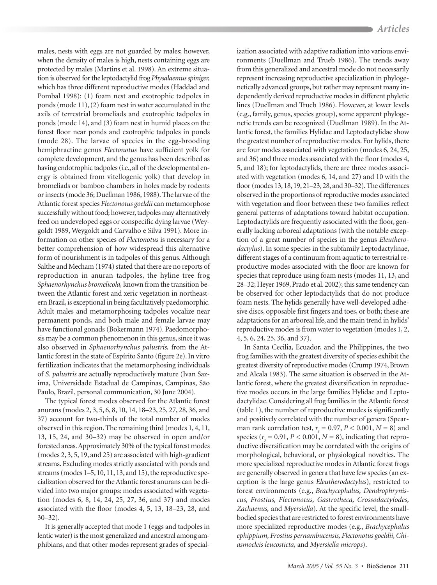males, nests with eggs are not guarded by males; however, when the density of males is high, nests containing eggs are protected by males (Martins et al. 1998). An extreme situation is observed for the leptodactylid frog Physalaemus spiniger, which has three different reproductive modes (Haddad and Pombal 1998): (1) foam nest and exotrophic tadpoles in ponds (mode 11), (2) foam nest in water accumulated in the axils of terrestrial bromeliads and exotrophic tadpoles in ponds (mode 14), and (3) foam nest in humid places on the forest floor near ponds and exotrophic tadpoles in ponds (mode 28). The larvae of species in the egg-brooding hemiphractine genus Flectonotus have sufficient yolk for complete development, and the genus has been described as having endotrophic tadpoles (i.e., all of the developmental energy is obtained from vitellogenic yolk) that develop in bromeliads or bamboo chambers in holes made by rodents or insects (mode 36; Duellman 1986, 1988). The larvae of the Atlantic forest species Flectonotus goeldii can metamorphose successfully without food; however, tadpoles may alternatively feed on undeveloped eggs or conspecific dying larvae (Weygoldt 1989, Weygoldt and Carvalho e Silva 1991). More information on other species of Flectonotus is necessary for a better comprehension of how widespread this alternative form of nourishment is in tadpoles of this genus. Although Salthe and Mecham (1974) stated that there are no reports of reproduction in anuran tadpoles, the hyline tree frog Sphaenorhynchus bromelicola, known from the transition between the Atlantic forest and xeric vegetation in northeastern Brazil, is exceptional in being facultatively paedomorphic. Adult males and metamorphosing tadpoles vocalize near permanent ponds, and both male and female larvae may have functional gonads (Bokermann 1974). Paedomorphosis may be a common phenomenon in this genus, since it was also observed in Sphaenorhynchus palustris, from the Atlantic forest in the state of Espírito Santo (figure 2e). In vitro fertilization indicates that the metamorphosing individuals of S. palustris are actually reproductively mature (Ivan Sazima, Universidade Estadual de Campinas, Campinas, São Paulo, Brazil, personal communication, 30 June 2004).

The typical forest modes observed for the Atlantic forest anurans (modes 2, 3, 5, 6, 8, 10, 14, 18–23, 25, 27, 28, 36, and 37) account for two-thirds of the total number of modes observed in this region. The remaining third (modes 1, 4, 11, 13, 15, 24, and 30-32) may be observed in open and/or forested areas. Approximately 30% of the typical forest modes (modes 2, 3, 5, 19, and 25) are associated with high-gradient streams. Excluding modes strictly associated with ponds and streams (modes 1–5, 10, 11, 13, and 15), the reproductive specialization observed for the Atlantic forest anurans can be divided into two major groups: modes associated with vegetation (modes 6, 8, 14, 24, 25, 27, 36, and 37) and modes associated with the floor (modes 4, 5, 13, 18–23, 28, and  $30 - 32$ ).

It is generally accepted that mode 1 (eggs and tadpoles in lentic water) is the most generalized and ancestral among amphibians, and that other modes represent grades of specialization associated with adaptive radiation into various environments (Duellman and Trueb 1986). The trends away from this generalized and ancestral mode do not necessarily represent increasing reproductive specialization in phylogenetically advanced groups, but rather may represent many independently derived reproductive modes in different phyletic lines (Duellman and Trueb 1986). However, at lower levels (e.g., family, genus, species group), some apparent phylogenetic trends can be recognized (Duellman 1989). In the Atlantic forest, the families Hylidae and Leptodactylidae show the greatest number of reproductive modes. For hylids, there are four modes associated with vegetation (modes 6, 24, 25, and 36) and three modes associated with the floor (modes 4, 5, and 18); for leptodactylids, there are three modes associated with vegetation (modes 6, 14, and 27) and 10 with the floor (modes 13, 18, 19, 21–23, 28, and 30–32). The differences observed in the proportions of reproductive modes associated with vegetation and floor between these two families reflect general patterns of adaptations toward habitat occupation. Leptodactylids are frequently associated with the floor, generally lacking arboreal adaptations (with the notable exception of a great number of species in the genus Eleutherodactylus). In some species in the subfamily Leptodactylinae, different stages of a continuum from aquatic to terrestrial reproductive modes associated with the floor are known for species that reproduce using foam nests (modes 11, 13, and 28-32; Heyer 1969, Prado et al. 2002); this same tendency can be observed for other leptodactylids that do not produce foam nests. The hylids generally have well-developed adhesive discs, opposable first fingers and toes, or both; these are adaptations for an arboreal life, and the main trend in hylids' reproductive modes is from water to vegetation (modes 1, 2, 4, 5, 6, 24, 25, 36, and 37).

In Santa Cecilia, Ecuador, and the Philippines, the two frog families with the greatest diversity of species exhibit the greatest diversity of reproductive modes (Crump 1974, Brown and Alcala 1983). The same situation is observed in the Atlantic forest, where the greatest diversification in reproductive modes occurs in the large families Hylidae and Leptodactylidae. Considering all frog families in the Atlantic forest (table 1), the number of reproductive modes is significantly and positively correlated with the number of genera (Spearman rank correlation test,  $r_s = 0.97$ ,  $P < 0.001$ ,  $N = 8$ ) and species ( $r_s = 0.91$ ,  $P < 0.001$ ,  $N = 8$ ), indicating that reproductive diversification may be correlated with the origins of morphological, behavioral, or physiological novelties. The more specialized reproductive modes in Atlantic forest frogs are generally observed in genera that have few species (an exception is the large genus Eleutherodactylus), restricted to forest environments (e.g., Brachycephalus, Dendrophryniscus, Frostius, Flectonotus, Gastrotheca, Crossodactylodes, Zachaenus, and Myersiella). At the specific level, the smallbodied species that are restricted to forest environments have more specialized reproductive modes (e.g., Brachycephalus ephippium, Frostius pernambucensis, Flectonotus goeldii, Chiasmocleis leucosticta, and Myersiella microps).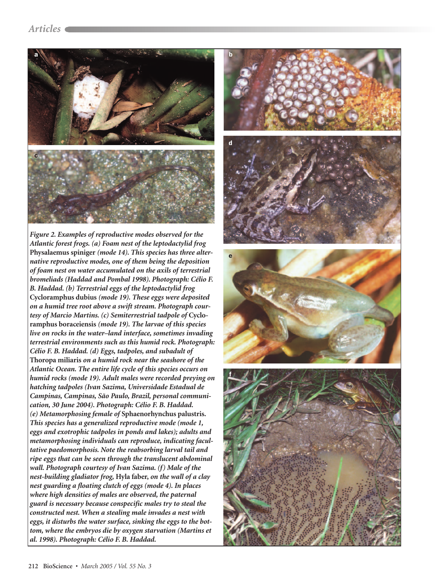

Figure 2. Examples of reproductive modes observed for the Atlantic forest frogs. (a) Foam nest of the leptodactylid frog Physalaemus spiniger (mode 14). This species has three alternative reproductive modes, one of them being the deposition of foam nest on water accumulated on the axils of terrestrial bromeliads (Haddad and Pombal 1998). Photograph: Célio F. B. Haddad. (b) Terrestrial eggs of the leptodactylid frog Cycloramphus dubius (mode 19). These eggs were deposited on a humid tree root above a swift stream. Photograph courtesy of Marcio Martins. (c) Semiterrestrial tadpole of Cycloramphus boraceiensis (mode 19). The larvae of this species live on rocks in the water-land interface, sometimes invading terrestrial environments such as this humid rock. Photograph: Célio F. B. Haddad. (d) Eggs, tadpoles, and subadult of Thoropa miliaris on a humid rock near the seashore of the Atlantic Ocean. The entire life cycle of this species occurs on humid rocks (mode 19). Adult males were recorded preying on hatching tadpoles (Ivan Sazima, Universidade Estadual de Campinas, Campinas, São Paulo, Brazil, personal communication, 30 June 2004). Photograph: Célio F. B. Haddad. (e) Metamorphosing female of Sphaenorhynchus palustris. This species has a generalized reproductive mode (mode 1, eggs and exotrophic tadpoles in ponds and lakes); adults and metamorphosing individuals can reproduce, indicating facultative paedomorphosis. Note the reabsorbing larval tail and ripe eggs that can be seen through the translucent abdominal wall. Photograph courtesy of Ivan Sazima. (f) Male of the nest-building gladiator frog, Hyla faber, on the wall of a clay nest guarding a floating clutch of eggs (mode 4). In places where high densities of males are observed, the paternal guard is necessary because conspecific males try to steal the constructed nest. When a stealing male invades a nest with eggs, it disturbs the water surface, sinking the eggs to the bottom, where the embryos die by oxygen starvation (Martins et al. 1998). Photograph: Célio F. B. Haddad.

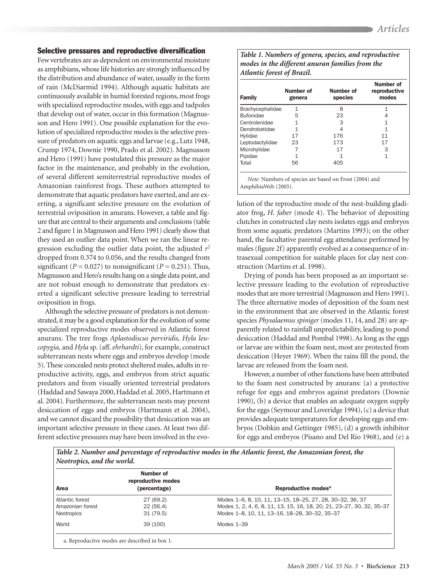# Selective pressures and reproductive diversification

Few vertebrates are as dependent on environmental moisture as amphibians, whose life histories are strongly influenced by the distribution and abundance of water, usually in the form of rain (McDiarmid 1994). Although aquatic habitats are continuously available in humid forested regions, most frogs with specialized reproductive modes, with eggs and tadpoles that develop out of water, occur in this formation (Magnusson and Hero 1991). One possible explanation for the evolution of specialized reproductive modes is the selective pressure of predators on aquatic eggs and larvae (e.g., Lutz 1948, Crump 1974, Downie 1990, Prado et al. 2002). Magnusson and Hero (1991) have postulated this pressure as the major factor in the maintenance, and probably in the evolution, of several different semiterrestrial reproductive modes of Amazonian rainforest frogs. These authors attempted to demonstrate that aquatic predators have exerted, and are exerting, a significant selective pressure on the evolution of terrestrial oviposition in anurans. However, a table and figure that are central to their arguments and conclusions (table 2 and figure 1 in Magnusson and Hero 1991) clearly show that they used an outlier data point. When we ran the linear regression excluding the outlier data point, the adjusted  $r^2$ dropped from 0.374 to 0.056, and the results changed from significant ( $P = 0.027$ ) to nonsignificant ( $P = 0.251$ ). Thus, Magnusson and Hero's results hang on a single data point, and are not robust enough to demonstrate that predators exerted a significant selective pressure leading to terrestrial oviposition in frogs.

Although the selective pressure of predators is not demonstrated, it may be a good explanation for the evolution of some specialized reproductive modes observed in Atlantic forest anurans. The tree frogs Aplastodiscus perviridis, Hyla leucopygia, and Hyla sp. (aff. ehrhardti), for example, construct subterranean nests where eggs and embryos develop (mode 5). These concealed nests protect sheltered males, adults in reproductive activity, eggs, and embryos from strict aquatic predators and from visually oriented terrestrial predators (Haddad and Sawaya 2000, Haddad et al. 2005, Hartmann et al. 2004). Furthermore, the subterranean nests may prevent desiccation of eggs and embryos (Hartmann et al. 2004), and we cannot discard the possibility that desiccation was an important selective pressure in these cases. At least two different selective pressures may have been involved in the evo-

Table 1. Numbers of genera, species, and reproductive modes in the different anuran families from the Atlantic forest of Brazil.

| <b>Family</b>    | Number of<br>genera | Number of<br>species | Number of<br>reproductive<br>modes |  |
|------------------|---------------------|----------------------|------------------------------------|--|
| Brachycephalidae | 1                   | 8                    |                                    |  |
| <b>Bufonidae</b> | 5                   | 23                   | 1<br>11<br>17                      |  |
| Centrolenidae    | 1                   | 3                    |                                    |  |
| Dendrobatidae    | 1                   |                      |                                    |  |
| Hylidae          | 17                  | 176                  |                                    |  |
| Leptodactylidae  | 23                  | 173                  |                                    |  |
| Microhylidae     |                     | 17                   | 3                                  |  |
| Pipidae          | 1                   |                      | 1                                  |  |
| Total            | 56                  | 405                  |                                    |  |

AmphibiaWeb (2005).

lution of the reproductive mode of the nest-building gladiator frog, *H. faber* (mode 4). The behavior of depositing clutches in constructed clay nests isolates eggs and embryos from some aquatic predators (Martins 1993); on the other hand, the facultative parental egg attendance performed by males (figure 2f) apparently evolved as a consequence of intrasexual competition for suitable places for clay nest construction (Martins et al. 1998).

Drying of ponds has been proposed as an important selective pressure leading to the evolution of reproductive modes that are more terrestrial (Magnusson and Hero 1991). The three alternative modes of deposition of the foam nest in the environment that are observed in the Atlantic forest species Physalaemus spiniger (modes 11, 14, and 28) are apparently related to rainfall unpredictability, leading to pond desiccation (Haddad and Pombal 1998). As long as the eggs or larvae are within the foam nest, most are protected from desiccation (Heyer 1969). When the rains fill the pond, the larvae are released from the foam nest.

However, a number of other functions have been attributed to the foam nest constructed by anurans: (a) a protective refuge for eggs and embryos against predators (Downie 1990), (b) a device that enables an adequate oxygen supply for the eggs (Seymour and Loveridge 1994),  $(c)$  a device that provides adequate temperatures for developing eggs and embryos (Dobkin and Gettinger 1985), (d) a growth inhibitor for eggs and embryos (Pisano and Del Rio 1968), and (e) a

Table 2. Number and percentage of reproductive modes in the Atlantic forest, the Amazonian forest, the

| Area             | Number of<br>reproductive modes<br>(percentage) | Reproductive modes <sup>a</sup>                                       |
|------------------|-------------------------------------------------|-----------------------------------------------------------------------|
| Atlantic forest  | 27 (69.2)                                       | Modes 1-6, 8, 10, 11, 13-15, 18-25, 27, 28, 30-32, 36, 37             |
| Amazonian forest | 22(56.4)                                        | Modes 1, 2, 4, 6, 8, 11, 13, 15, 16, 18, 20, 21, 23-27, 30, 32, 35-37 |
| Neotropics       | 31(79.5)                                        | Modes 1-8, 10, 11, 13-16, 18-28, 30-32, 35-37                         |
| World            | 39 (100)                                        | Modes $1-39$                                                          |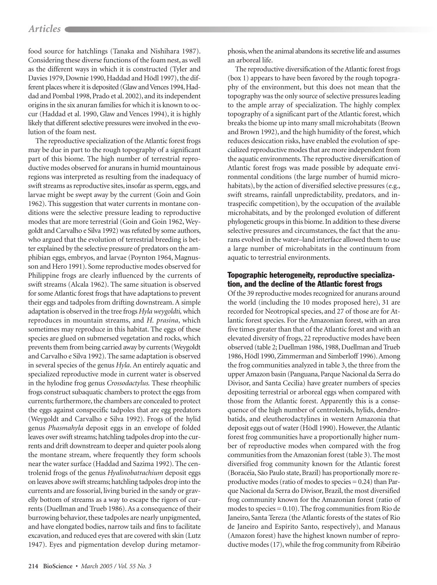# Articles  $\blacksquare$

food source for hatchlings (Tanaka and Nishihara 1987). Considering these diverse functions of the foam nest, as well as the different ways in which it is constructed (Tyler and Davies 1979, Downie 1990, Haddad and Hödl 1997), the different places where it is deposited (Glaw and Vences 1994, Haddad and Pombal 1998, Prado et al. 2002), and its independent origins in the six anuran families for which it is known to occur (Haddad et al. 1990, Glaw and Vences 1994), it is highly likely that different selective pressures were involved in the evolution of the foam nest.

The reproductive specialization of the Atlantic forest frogs may be due in part to the rough topography of a significant part of this biome. The high number of terrestrial reproductive modes observed for anurans in humid mountainous regions was interpreted as resulting from the inadequacy of swift streams as reproductive sites, insofar as sperm, eggs, and larvae might be swept away by the current (Goin and Goin 1962). This suggestion that water currents in montane conditions were the selective pressure leading to reproductive modes that are more terrestrial (Goin and Goin 1962, Weygoldt and Carvalho e Silva 1992) was refuted by some authors, who argued that the evolution of terrestrial breeding is better explained by the selective pressure of predators on the amphibian eggs, embryos, and larvae (Poynton 1964, Magnusson and Hero 1991). Some reproductive modes observed for Philippine frogs are clearly influenced by the currents of swift streams (Alcala 1962). The same situation is observed for some Atlantic forest frogs that have adaptations to prevent their eggs and tadpoles from drifting downstream. A simple adaptation is observed in the tree frogs Hyla weygoldti, which reproduces in mountain streams, and H. prasina, which sometimes may reproduce in this habitat. The eggs of these species are glued on submersed vegetation and rocks, which prevents them from being carried away by currents (Weygoldt and Carvalho e Silva 1992). The same adaptation is observed in several species of the genus Hyla. An entirely aquatic and specialized reproductive mode in current water is observed in the hylodine frog genus Crossodactylus. These rheophilic frogs construct subaquatic chambers to protect the eggs from currents; furthermore, the chambers are concealed to protect the eggs against conspecific tadpoles that are egg predators (Weygoldt and Carvalho e Silva 1992). Frogs of the hylid genus Phasmahyla deposit eggs in an envelope of folded leaves over swift streams; hatchling tadpoles drop into the currents and drift downstream to deeper and quieter pools along the montane stream, where frequently they form schools near the water surface (Haddad and Sazima 1992). The centrolenid frogs of the genus Hyalinobatrachium deposit eggs on leaves above swift streams; hatchling tadpoles drop into the currents and are fossorial, living buried in the sandy or gravelly bottom of streams as a way to escape the rigors of currents (Duellman and Trueb 1986). As a consequence of their burrowing behavior, these tadpoles are nearly unpigmented, and have elongated bodies, narrow tails and fins to facilitate excavation, and reduced eyes that are covered with skin (Lutz 1947). Eyes and pigmentation develop during metamorphosis, when the animal abandons its secretive life and assumes an arboreal life.

The reproductive diversification of the Atlantic forest frogs (box 1) appears to have been favored by the rough topography of the environment, but this does not mean that the topography was the only source of selective pressures leading to the ample array of specialization. The highly complex topography of a significant part of the Atlantic forest, which breaks the biome up into many small microhabitats (Brown and Brown 1992), and the high humidity of the forest, which reduces desiccation risks, have enabled the evolution of specialized reproductive modes that are more independent from the aquatic environments. The reproductive diversification of Atlantic forest frogs was made possible by adequate environmental conditions (the large number of humid microhabitats), by the action of diversified selective pressures (e.g., swift streams, rainfall unpredictability, predators, and intraspecific competition), by the occupation of the available microhabitats, and by the prolonged evolution of different phylogenetic groups in this biome. In addition to these diverse selective pressures and circumstances, the fact that the anurans evolved in the water-land interface allowed them to use a large number of microhabitats in the continuum from aquatic to terrestrial environments.

# Topographic heterogeneity, reproductive specialization, and the decline of the Atlantic forest frogs

Of the 39 reproductive modes recognized for anurans around the world (including the 10 modes proposed here), 31 are recorded for Neotropical species, and 27 of those are for Atlantic forest species. For the Amazonian forest, with an area five times greater than that of the Atlantic forest and with an elevated diversity of frogs, 22 reproductive modes have been observed (table 2; Duellman 1986, 1988, Duellman and Trueb 1986, Hödl 1990, Zimmerman and Simberloff 1996). Among the frog communities analyzed in table 3, the three from the upper Amazon basin (Panguana, Parque Nacional da Serra do Divisor, and Santa Cecilia) have greater numbers of species depositing terrestrial or arboreal eggs when compared with those from the Atlantic forest. Apparently this is a consequence of the high number of centrolenids, hylids, dendrobatids, and eleutherodactylines in western Amazonia that deposit eggs out of water (Hödl 1990). However, the Atlantic forest frog communities have a proportionally higher number of reproductive modes when compared with the frog communities from the Amazonian forest (table 3). The most diversified frog community known for the Atlantic forest (Boracéia, São Paulo state, Brazil) has proportionally more reproductive modes (ratio of modes to species  $= 0.24$ ) than Parque Nacional da Serra do Divisor, Brazil, the most diversified frog community known for the Amazonian forest (ratio of modes to species  $= 0.10$ ). The frog communities from Rio de Janeiro, Santa Tereza (the Atlantic forests of the states of Rio de Janeiro and Espírito Santo, respectively), and Manaus (Amazon forest) have the highest known number of reproductive modes (17), while the frog community from Ribeirão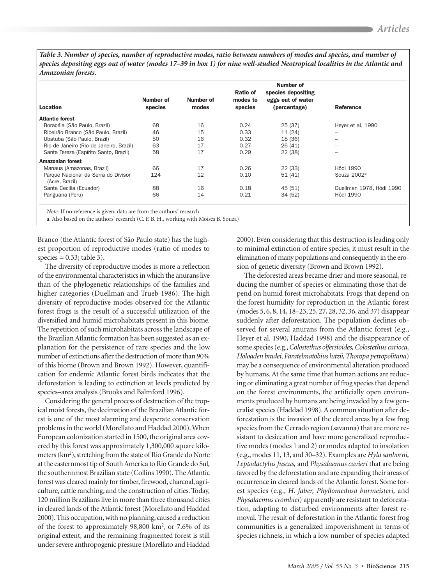Table 3. Number of species, number of reproductive modes, ratio between numbers of modes and species, and number of species depositing eggs out of water (modes 17–39 in box 1) for nine well-studied Neotropical localities in the Atlantic and Amazonian forests.

| Location                                              | Number of<br>species | Number of<br>modes | Ratio of<br>modes to<br>species | Number of<br>species depositing<br>eggs out of water<br>(percentage) | Reference                |
|-------------------------------------------------------|----------------------|--------------------|---------------------------------|----------------------------------------------------------------------|--------------------------|
| Atlantic forest                                       |                      |                    |                                 |                                                                      |                          |
| Boracéia (São Paulo, Brazil)                          | 68                   | 16                 | 0.24                            | 25(37)                                                               | Heyer et al. 1990        |
| Ribeirão Branco (São Paulo, Brazil)                   | 46                   | 15                 | 0.33                            | 11(24)                                                               |                          |
| Ubatuba (São Paulo, Brazil)                           | 50                   | 16                 | 0.32                            | 18 (36)                                                              | -                        |
| Rio de Janeiro (Rio de Janeiro, Brazil)               | 63                   | 17                 | 0.27                            | 26(41)                                                               | $\overline{\phantom{0}}$ |
| Santa Tereza (Espírito Santo, Brazil)                 | 58                   | 17                 | 0.29                            | 22(38)                                                               | $\overline{\phantom{0}}$ |
| Amazonian forest                                      |                      |                    |                                 |                                                                      |                          |
| Manaus (Amazonas, Brazil)                             | 66                   | 17                 | 0.26                            | 22(33)                                                               | Hödl 1990                |
| Parque Nacional da Serra do Divisor<br>(Acre, Brazil) | 124                  | 12                 | 0.10                            | 51(41)                                                               | Souza 2002 <sup>a</sup>  |
| Santa Cecilia (Ecuador)                               | 88                   | 16                 | 0.18                            | 45 (51)                                                              | Duellman 1978, Hödl 1990 |
| Panguana (Peru)                                       | 66                   | 14                 | 0.21                            | 34 (52)                                                              | <b>Hödl 1990</b>         |

Note: If no reference is given, data are from the authors' research.

a. Also based on the authors' research (C. F. B. H., working with Moisés B. Souza)

Branco (the Atlantic forest of São Paulo state) has the highest proportion of reproductive modes (ratio of modes to species =  $0.33$ ; table 3).

The diversity of reproductive modes is more a reflection of the environmental characteristics in which the anurans live than of the phylogenetic relationships of the families and higher categories (Duellman and Trueb 1986). The high diversity of reproductive modes observed for the Atlantic forest frogs is the result of a successful utilization of the diversified and humid microhabitats present in this biome. The repetition of such microhabitats across the landscape of the Brazilian Atlantic formation has been suggested as an explanation for the persistence of rare species and the low number of extinctions after the destruction of more than 90% of this biome (Brown and Brown 1992). However, quantification for endemic Atlantic forest birds indicates that the deforestation is leading to extinction at levels predicted by species-area analysis (Brooks and Balmford 1996).

Considering the general process of destruction of the tropical moist forests, the decimation of the Brazilian Atlantic forest is one of the most alarming and desperate conservation problems in the world (Morellato and Haddad 2000). When European colonization started in 1500, the original area covered by this forest was approximately 1,300,000 square kilometers (km<sup>2</sup>), stretching from the state of Rio Grande do Norte at the easternmost tip of South America to Rio Grande do Sul, the southernmost Brazilian state (Collins 1990). The Atlantic forest was cleared mainly for timber, firewood, charcoal, agriculture, cattle ranching, and the construction of cities. Today, 120 million Brazilians live in more than three thousand cities in cleared lands of the Atlantic forest (Morellato and Haddad 2000). This occupation, with no planning, caused a reduction of the forest to approximately  $98,800 \text{ km}^2$ , or 7.6% of its original extent, and the remaining fragmented forest is still under severe anthropogenic pressure (Morellato and Haddad

2000). Even considering that this destruction is leading only to minimal extinction of entire species, it must result in the elimination of many populations and consequently in the erosion of genetic diversity (Brown and Brown 1992).

The deforested areas became drier and more seasonal, reducing the number of species or eliminating those that depend on humid forest microhabitats. Frogs that depend on the forest humidity for reproduction in the Atlantic forest (modes 5, 6, 8, 14, 18–23, 25, 27, 28, 32, 36, and 37) disappear suddenly after deforestation. The population declines observed for several anurans from the Atlantic forest (e.g., Heyer et al. 1990, Haddad 1998) and the disappearance of some species (e.g., Colostethus olfersioides, Colostethus carioca, Holoaden bradei, Paratelmatobius lutzii, Thoropa petropolitana) may be a consequence of environmental alteration produced by humans. At the same time that human actions are reducing or eliminating a great number of frog species that depend on the forest environments, the artificially open environments produced by humans are being invaded by a few generalist species (Haddad 1998). A common situation after deforestation is the invasion of the cleared areas by a few frog species from the Cerrado region (savanna) that are more resistant to desiccation and have more generalized reproductive modes (modes 1 and 2) or modes adapted to insolation (e.g., modes 11, 13, and 30–32). Examples are Hyla sanborni, Leptodactylus fuscus, and Physalaemus cuvieri that are being favored by the deforestation and are expanding their areas of occurrence in cleared lands of the Atlantic forest. Some forest species (e.g., H. faber, Phyllomedusa burmeisteri, and Physalaemus crombiei) apparently are resistant to deforestation, adapting to disturbed environments after forest removal. The result of deforestation in the Atlantic forest frog communities is a generalized impoverishment in terms of species richness, in which a low number of species adapted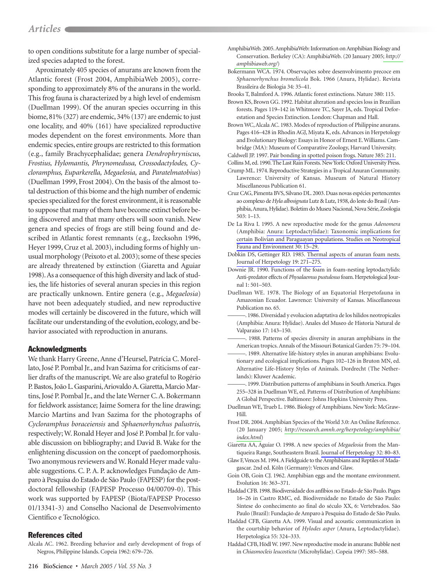to open conditions substitute for a large number of specialized species adapted to the forest.

Aproximately 405 species of anurans are known from the Atlantic forest (Frost 2004, AmphibiaWeb 2005), corresponding to approximately 8% of the anurans in the world. This frog fauna is characterized by a high level of endemism (Duellman 1999). Of the anuran species occurring in this biome,  $81\%$  (327) are endemic,  $34\%$  (137) are endemic to just one locality, and 40% (161) have specialized reproductive modes dependent on the forest environments. More than endemic species, entire groups are restricted to this formation (e.g., family Brachycephalidae; genera Dendrophryniscus, Frostius, Hylomantis, Phrynomedusa, Crossodactylodes, Cycloramphus, Euparkerella, Megaelosia, and Paratelmatobius) (Duellman 1999, Frost 2004). On the basis of the almost total destruction of this biome and the high number of endemic species specialized for the forest environment, it is reasonable to suppose that many of them have become extinct before being discovered and that many others will soon vanish. New genera and species of frogs are still being found and described in Atlantic forest remnants (e.g., Izecksohn 1996, Heyer 1999, Cruz et al. 2003), including forms of highly unusual morphology (Peixoto et al. 2003); some of these species are already threatened by extinction (Giaretta and Aguiar 1998). As a consequence of this high diversity and lack of studies, the life histories of several anuran species in this region are practically unknown. Entire genera (e.g., Megaelosia) have not been adequately studied, and new reproductive modes will certainly be discovered in the future, which will facilitate our understanding of the evolution, ecology, and behavior associated with reproduction in anurans.

# **Acknowledgments**

We thank Harry Greene, Anne d'Heursel, Patrícia C. Morellato, José P. Pombal Jr., and Ivan Sazima for criticisms of earlier drafts of the manuscript. We are also grateful to Rogério P. Bastos, João L. Gasparini, Ariovaldo A. Giaretta, Marcio Martins, José P. Pombal Jr., and the late Werner C. A. Bokermann for fieldwork assistance; Jaime Somera for the line drawing; Marcio Martins and Ivan Sazima for the photographs of Cycloramphus boraceiensis and Sphaenorhynchus palustris, respectively; W. Ronald Heyer and José P. Pombal Jr. for valuable discussion on bibliography; and David B. Wake for the enlightening discussion on the concept of paedomorphosis. Two anonymous reviewers and W. Ronald Heyer made valuable suggestions. C. P. A. P. acknowledges Fundação de Amparo à Pesquisa do Estado de São Paulo (FAPESP) for the postdoctoral fellowship (FAPESP Processo 04/00709-0). This work was supported by FAPESP (Biota/FAPESP Processo 01/13341-3) and Conselho Nacional de Desenvolvimento Científico e Tecnológico.

# **References cited**

Alcala AC. 1962. Breeding behavior and early development of frogs of Negros, Philippine Islands. Copeia 1962: 679-726.

- AmphibiaWeb. 2005. AmphibiaWeb: Information on Amphibian Biology and Conservation. Berkeley (CA): AmphibiaWeb. (20 January 2005; http:// amphibiaweb.org/)
- Bokermann WCA. 1974. Observações sobre desenvolvimento precoce em Sphaenorhynchus bromelicola Bok. 1966 (Anura, Hylidae). Revista Brasileira de Biologia 34: 35-41.

Brooks T, Balmford A. 1996. Atlantic forest extinctions. Nature 380: 115.

- Brown KS, Brown GG. 1992. Habitat alteration and species loss in Brazilian forests. Pages 119-142 in Whitmore TC, Sayer JA, eds. Tropical Deforestation and Species Extinction. London: Chapman and Hall.
- Brown WC, Alcala AC. 1983. Modes of reproduction of Philippine anurans. Pages 416-428 in Rhodin AGJ, Miyata K, eds. Advances in Herpetology and Evolutionary Biology: Essays in Honor of Ernest E. Williams. Cambridge (MA): Museum of Comparative Zoology, Harvard University. Caldwell JP. 1997. Pair bonding in spotted poison frogs. Nature 385: 211.

Collins M, ed. 1990. The Last Rain Forests. New York: Oxford University Press.

- Crump ML. 1974. Reproductive Strategies in a Tropical Anuran Community. Lawrence: University of Kansas. Museum of Natural History Miscellaneous Publication 61.
- Cruz CAG, Pimenta BVS, Silvano DL. 2003. Duas novas espécies pertencentes ao complexo de Hyla albosignata Lutz & Lutz, 1938, do leste do Brasil (Amphibia, Anura, Hylidae). Boletim do Museu Nacional, Nova Série, Zoologia  $503:1-13.$
- De La Riva I. 1995. A new reproductive mode for the genus Adenomera (Amphibia: Anura: Leptodactylidae): Taxonomic implications for certain Bolivian and Paraguayan populations. Studies on Neotropical Fauna and Environment 30: 15-29.
- Dobkin DS, Gettinger RD. 1985. Thermal aspects of anuran foam nests. Journal of Herpetology 19: 271-275.
- Downie JR. 1990. Functions of the foam in foam-nesting leptodactylids: Anti-predator effects of Physalaemus pustulosus foam. Herpetological Journal 1:501-503.
- Duellman WE. 1978. The Biology of an Equatorial Herpetofauna in Amazonian Ecuador. Lawrence: University of Kansas. Miscellaneous Publication no. 65.
- -. 1986. Diversidad y evolucion adaptativa de los hilidos neotropicales (Amphibia: Anura: Hylidae). Anales del Museo de Historia Natural de Valparaíso 17: 143-150.
- -. 1988. Patterns of species diversity in anuran amphibians in the American tropics. Annals of the Missouri Botanical Garden 75: 79-104.
- -. 1989. Alternative life-history styles in anuran amphibians: Evolutionary and ecological implications. Pages 102-126 in Bruton MN, ed. Alternative Life-History Styles of Animals. Dordrecht (The Netherlands): Kluwer Academic.
- -. 1999. Distribution patterns of amphibians in South America. Pages 255-328 in Duellman WE, ed. Patterns of Distribution of Amphibians: A Global Perspective. Baltimore: Johns Hopkins University Press.
- Duellman WE, Trueb L. 1986. Biology of Amphibians, New York: McGraw-Hill
- Frost DR. 2004. Amphibian Species of the World 3.0: An Online Reference. (20 January 2005; http://research.amnh.org/herpetology/amphibia/ index.html)
- Giaretta AA, Aguiar O. 1998. A new species of Megaelosia from the Mantiqueira Range, Southeastern Brazil. Journal of Herpetology 32: 80-83.
- Glaw F, Vences M. 1994. A Fieldguide to the Amphibians and Reptiles of Madagascar. 2nd ed. Köln (Germany): Vences and Glaw.
- Goin OB, Goin CJ. 1962. Amphibian eggs and the montane environment. Evolution 16: 363-371.
- Haddad CFB. 1998. Biodiversidade dos anfíbios no Estado de São Paulo. Pages 16-26 in Castro RMC, ed. Biodiversidade no Estado de São Paulo: Síntese do conhecimento ao final do século XX, 6: Vertebrados, São Paulo (Brazil): Fundação de Amparo à Pesquisa do Estado de São Paulo.
- Haddad CFB, Giaretta AA. 1999. Visual and acoustic communication in the courtship behavior of Hylodes asper (Anura, Leptodactylidae). Herpetologica 55: 324-333.
- Haddad CFB, Hödl W. 1997. New reproductive mode in anurans: Bubble nest in Chiasmocleis leucosticta (Microhylidae). Copeia 1997: 585-588.